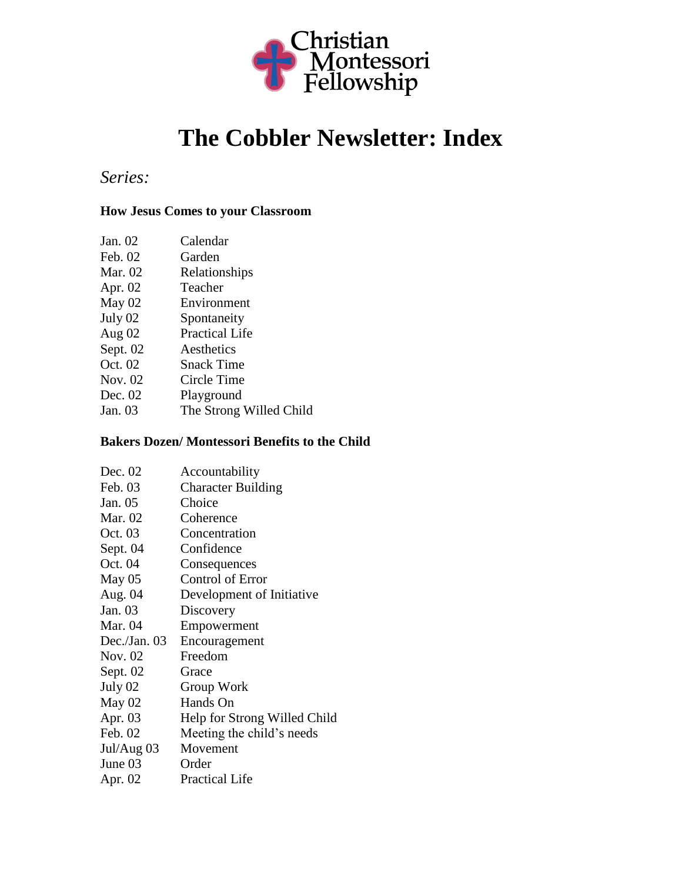

# **The Cobbler Newsletter: Index**

### *Series:*

### **How Jesus Comes to your Classroom**

| Calendar |
|----------|
|          |

- Feb. 02 Garden
- Mar. 02 Relationships
- Apr. 02 Teacher<br>May 02 Environ
- May 02 Environment<br>July 02 Spontaneity Spontaneity
- 
- Aug 02 Practical Life
- Sept. 02 Aesthetics Oct. 02 Snack Time
- Nov. 02 Circle Time
- Dec. 02 Playground
- Jan. 03 The Strong Willed Child

#### **Bakers Dozen/ Montessori Benefits to the Child**

| Accountability               |
|------------------------------|
| <b>Character Building</b>    |
| Choice                       |
| Coherence                    |
| Concentration                |
| Confidence                   |
| Consequences                 |
| <b>Control of Error</b>      |
| Development of Initiative    |
| Discovery                    |
| Empowerment                  |
| Encouragement                |
| Freedom                      |
| Grace                        |
| Group Work                   |
| Hands On                     |
| Help for Strong Willed Child |
| Meeting the child's needs    |
| Movement                     |
| Order                        |
| <b>Practical Life</b>        |
|                              |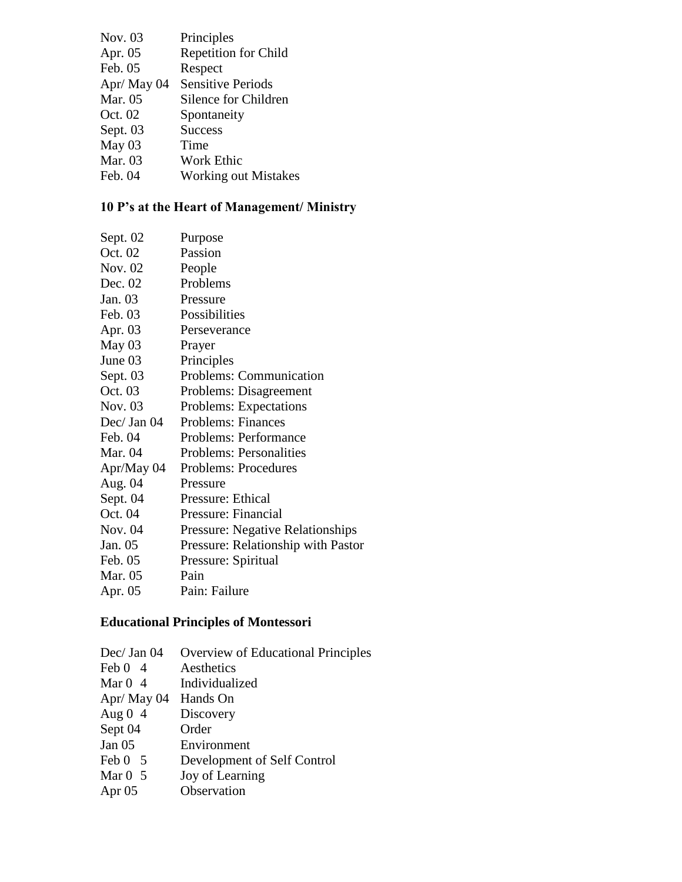| Nov. 03    | Principles                  |
|------------|-----------------------------|
| Apr. 05    | <b>Repetition for Child</b> |
| Feb. 05    | Respect                     |
| Apr/May 04 | <b>Sensitive Periods</b>    |
| Mar. 05    | Silence for Children        |
| Oct. 02    | Spontaneity                 |
| Sept. 03   | <b>Success</b>              |
| May 03     | Time                        |
| Mar. 03    | <b>Work Ethic</b>           |
| Feb. 04    | <b>Working out Mistakes</b> |
|            |                             |

## **10 P's at the Heart of Management/ Ministry**

| Sept. 02    | Purpose                                 |
|-------------|-----------------------------------------|
| Oct. 02     | Passion                                 |
| Nov. 02     | People                                  |
| Dec. 02     | Problems                                |
| Jan. 03     | Pressure                                |
| Feb. 03     | Possibilities                           |
| Apr. 03     | Perseverance                            |
| May 03      | Prayer                                  |
| June 03     | Principles                              |
| Sept. 03    | Problems: Communication                 |
| Oct. 03     | Problems: Disagreement                  |
| Nov. 03     | <b>Problems: Expectations</b>           |
| Dec/ Jan 04 | <b>Problems: Finances</b>               |
| Feb. 04     | Problems: Performance                   |
| Mar. 04     | <b>Problems: Personalities</b>          |
| Apr/May 04  | <b>Problems: Procedures</b>             |
| Aug. 04     | Pressure                                |
| Sept. 04    | Pressure: Ethical                       |
| Oct. 04     | Pressure: Financial                     |
| Nov. 04     | <b>Pressure: Negative Relationships</b> |
| Jan. 05     | Pressure: Relationship with Pastor      |
| Feb. 05     | Pressure: Spiritual                     |
| Mar. 05     | Pain                                    |
| Apr. 05     | Pain: Failure                           |

# **Educational Principles of Montessori**

| Dec/ Jan 04    | Overview of Educational Principles |
|----------------|------------------------------------|
| Feb $0\quad 4$ | Aesthetics                         |
| Mar $0\;4$     | Individualized                     |
| Apr/ May 04    | Hands On                           |
| Aug $0\,4$     | Discovery                          |
| Sept 04        | Order                              |
| Jan $05$       | Environment                        |
| Feb $0\quad 5$ | Development of Self Control        |
| Mar $0\,5$     | Joy of Learning                    |
| Apr $05$       | Observation                        |
|                |                                    |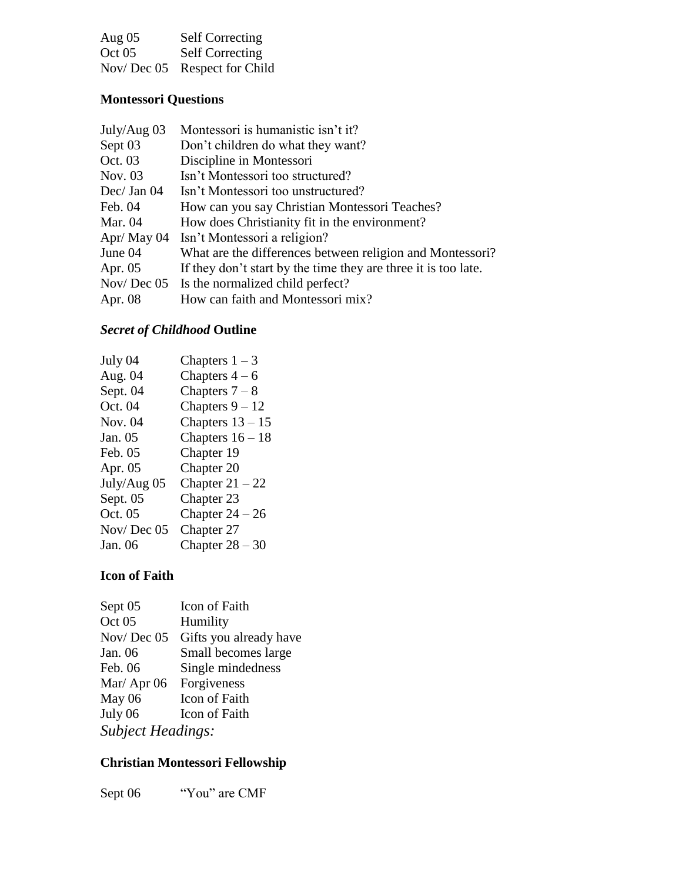| Aug $05$ | <b>Self Correcting</b>       |
|----------|------------------------------|
| Oct 05   | <b>Self Correcting</b>       |
|          | Nov/Dec 05 Respect for Child |

### **Montessori Questions**

| July/Aug $03$ | Montessori is humanistic isn't it?                             |
|---------------|----------------------------------------------------------------|
| Sept 03       | Don't children do what they want?                              |
| Oct. 03       | Discipline in Montessori                                       |
| Nov. 03       | Isn't Montessori too structured?                               |
| Dec/ Jan $04$ | Isn't Montessori too unstructured?                             |
| Feb. 04       | How can you say Christian Montessori Teaches?                  |
| Mar. 04       | How does Christianity fit in the environment?                  |
| Apr/ May 04   | Isn't Montessori a religion?                                   |
| June 04       | What are the differences between religion and Montessori?      |
| Apr. $05$     | If they don't start by the time they are three it is too late. |
|               | Nov/Dec 05 Is the normalized child perfect?                    |
| Apr. 08       | How can faith and Montessori mix?                              |
|               |                                                                |

### *Secret of Childhood* **Outline**

| July 04     | Chapters $1-3$     |
|-------------|--------------------|
| Aug. 04     | Chapters $4-6$     |
| Sept. 04    | Chapters $7-8$     |
| Oct. 04     | Chapters $9 - 12$  |
| Nov. 04     | Chapters $13 - 15$ |
| Jan. 05     | Chapters $16 - 18$ |
| Feb. 05     | Chapter 19         |
| Apr. 05     | Chapter 20         |
| July/Aug 05 | Chapter $21 - 22$  |
| Sept. 05    | Chapter 23         |
| Oct. 05     | Chapter $24 - 26$  |
| Nov/Dec 05  | Chapter 27         |
| Jan. 06     | Chapter $28 - 30$  |
|             |                    |

### **Icon of Faith**

| Sept <sub>05</sub>       | <b>Icon of Faith</b>   |
|--------------------------|------------------------|
| Oct 05                   | Humility               |
| Nov/Dec $05$             | Gifts you already have |
| Jan. 06                  | Small becomes large    |
| Feb. 06                  | Single mindedness      |
| Mar/ Apr 06 Forgiveness  |                        |
| May 06                   | Icon of Faith          |
| July 06                  | Icon of Faith          |
| <b>Subject Headings:</b> |                        |
|                          |                        |

# **Christian Montessori Fellowship**

Sept 06 "You" are CMF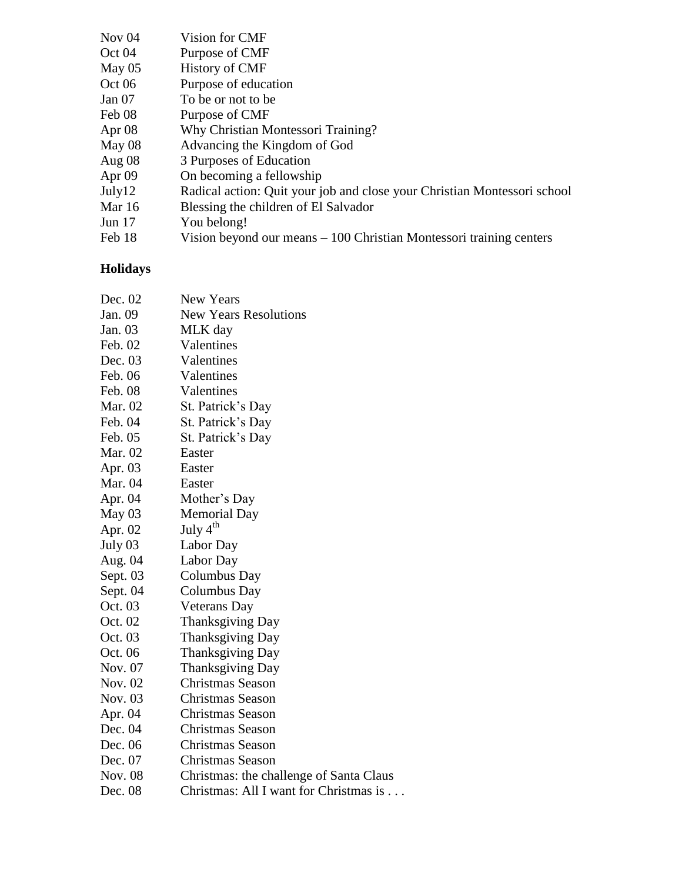| Vision for CMF                                                           |
|--------------------------------------------------------------------------|
| Purpose of CMF                                                           |
| <b>History of CMF</b>                                                    |
| Purpose of education                                                     |
| To be or not to be                                                       |
| Purpose of CMF                                                           |
| Why Christian Montessori Training?                                       |
| Advancing the Kingdom of God                                             |
| 3 Purposes of Education                                                  |
| On becoming a fellowship                                                 |
| Radical action: Quit your job and close your Christian Montessori school |
| Blessing the children of El Salvador                                     |
| You belong!                                                              |
| Vision beyond our means $-100$ Christian Montessori training centers     |
|                                                                          |

### **Holidays**

| Dec. 02        | <b>New Years</b>                        |
|----------------|-----------------------------------------|
| Jan. 09        | <b>New Years Resolutions</b>            |
| Jan. 03        | MLK day                                 |
| Feb. 02        | Valentines                              |
| Dec. 03        | Valentines                              |
| Feb. 06        | Valentines                              |
| Feb. 08        | Valentines                              |
| Mar. 02        | St. Patrick's Day                       |
| Feb. 04        | St. Patrick's Day                       |
| Feb. 05        | St. Patrick's Day                       |
| Mar. 02        | Easter                                  |
| Apr. 03        | Easter                                  |
| Mar. 04        | Easter                                  |
| Apr. 04        | Mother's Day                            |
| May $03$       | Memorial Day                            |
| Apr. 02        | July $4th$                              |
| July 03        | Labor Day                               |
| Aug. 04        | Labor Day                               |
| Sept. 03       | Columbus Day                            |
| Sept. 04       | Columbus Day                            |
| Oct. 03        | Veterans Day                            |
| Oct. 02        | <b>Thanksgiving Day</b>                 |
| Oct. 03        | Thanksgiving Day                        |
| Oct. 06        | <b>Thanksgiving Day</b>                 |
| Nov. 07        | <b>Thanksgiving Day</b>                 |
| Nov. 02        | Christmas Season                        |
| Nov. 03        | Christmas Season                        |
| Apr. 04        | Christmas Season                        |
| Dec. 04        | <b>Christmas Season</b>                 |
| Dec. 06        | Christmas Season                        |
| Dec. 07        | <b>Christmas Season</b>                 |
| <b>Nov.</b> 08 | Christmas: the challenge of Santa Claus |
| Dec. 08        | Christmas: All I want for Christmas is  |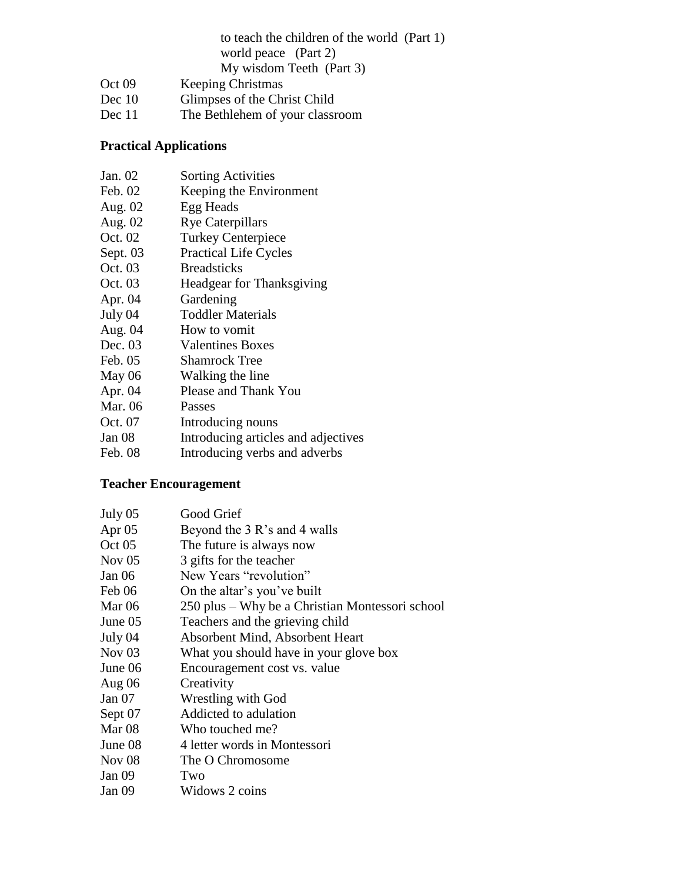|          | to teach the children of the world (Part 1) |
|----------|---------------------------------------------|
|          | world peace (Part 2)                        |
|          | My wisdom Teeth (Part 3)                    |
| Oct 09   | <b>Keeping Christmas</b>                    |
| Dec $10$ | Glimpses of the Christ Child                |
| Dec 11   | The Bethlehem of your classroom             |

### **Practical Applications**

| Jan. 02  | <b>Sorting Activities</b>           |
|----------|-------------------------------------|
| Feb. 02  | Keeping the Environment             |
| Aug. 02  | Egg Heads                           |
| Aug. 02  | <b>Rye Caterpillars</b>             |
| Oct. 02  | <b>Turkey Centerpiece</b>           |
| Sept. 03 | <b>Practical Life Cycles</b>        |
| Oct. 03  | <b>Breadsticks</b>                  |
| Oct. 03  | Headgear for Thanksgiving           |
| Apr. 04  | Gardening                           |
| July 04  | <b>Toddler Materials</b>            |
| Aug. 04  | How to vomit                        |
| Dec. 03  | <b>Valentines Boxes</b>             |
| Feb. 05  | Shamrock Tree                       |
| May 06   | Walking the line                    |
| Apr. 04  | Please and Thank You                |
| Mar. 06  | Passes                              |
| Oct. 07  | Introducing nouns                   |
| Jan 08   | Introducing articles and adjectives |
|          |                                     |

| Feb. 08 | Introducing verbs and adverbs |  |  |  |
|---------|-------------------------------|--|--|--|
|---------|-------------------------------|--|--|--|

### **Teacher Encouragement**

| July 05           | Good Grief                                      |
|-------------------|-------------------------------------------------|
| Apr $05$          | Beyond the 3 R's and 4 walls                    |
| Oct 05            | The future is always now                        |
| Nov $05$          | 3 gifts for the teacher                         |
| Jan 06            | New Years "revolution"                          |
| Feb 06            | On the altar's you've built                     |
| Mar $06$          | 250 plus – Why be a Christian Montessori school |
| June 05           | Teachers and the grieving child                 |
| July 04           | Absorbent Mind, Absorbent Heart                 |
| Nov <sub>03</sub> | What you should have in your glove box          |
| June 06           | Encouragement cost vs. value                    |
| Aug 06            | Creativity                                      |
| Jan $07$          | Wrestling with God                              |
| Sept 07           | Addicted to adulation                           |
| Mar <sub>08</sub> | Who touched me?                                 |
| June 08           | 4 letter words in Montessori                    |
| Nov $08$          | The O Chromosome                                |
| Jan 09            | Two                                             |
| Jan 09            | Widows 2 coins                                  |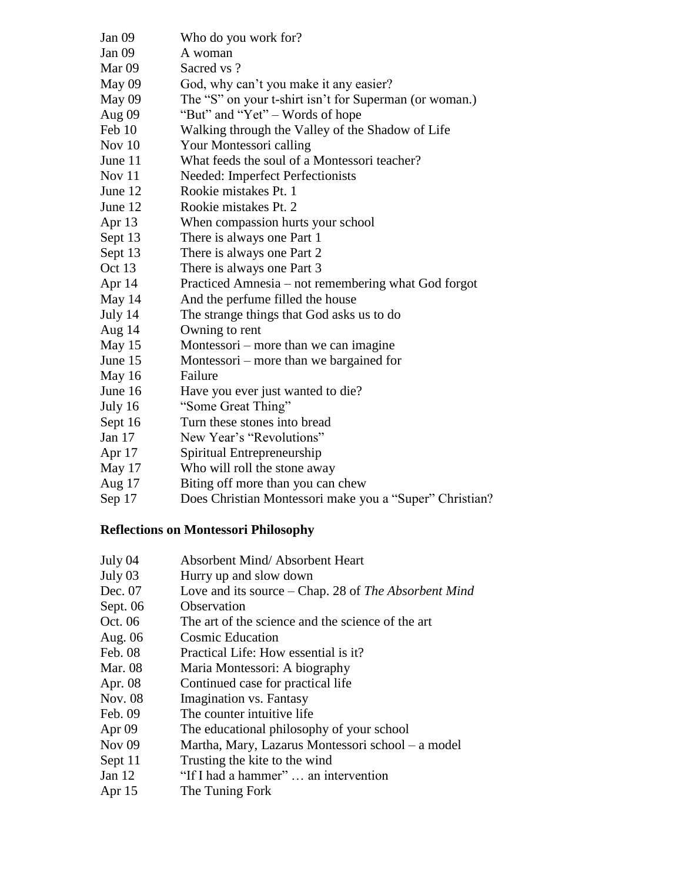| Jan 09              | Who do you work for?                                   |
|---------------------|--------------------------------------------------------|
| Jan 09              | A woman                                                |
| Mar 09              | Sacred vs?                                             |
| May 09              | God, why can't you make it any easier?                 |
| May 09              | The "S" on your t-shirt isn't for Superman (or woman.) |
| Aug 09              | "But" and "Yet" – Words of hope                        |
| Feb 10              | Walking through the Valley of the Shadow of Life       |
| Nov $10$            | Your Montessori calling                                |
| June 11             | What feeds the soul of a Montessori teacher?           |
| Nov 11              | Needed: Imperfect Perfectionists                       |
| June 12             | Rookie mistakes Pt. 1                                  |
| June 12             | Rookie mistakes Pt. 2                                  |
| Apr 13              | When compassion hurts your school                      |
| Sept 13             | There is always one Part 1                             |
| Sept 13             | There is always one Part 2                             |
| Oct 13              | There is always one Part 3                             |
| Apr 14              | Practiced Amnesia - not remembering what God forgot    |
| May 14              | And the perfume filled the house                       |
| July 14             | The strange things that God asks us to do              |
| Aug 14              | Owning to rent                                         |
| May 15              | Montessori – more than we can imagine                  |
| June 15             | Montessori – more than we bargained for                |
| May 16              | Failure                                                |
| June 16             | Have you ever just wanted to die?                      |
| July 16             | "Some Great Thing"                                     |
| Sept 16             | Turn these stones into bread                           |
| Jan $17$            | New Year's "Revolutions"                               |
| Apr 17              | Spiritual Entrepreneurship                             |
| May 17              | Who will roll the stone away                           |
| $\lambda$ $\lambda$ |                                                        |

### Aug 17 Biting off more than you can chew

Sep 17 Does Christian Montessori make you a "Super" Christian?

### **Reflections on Montessori Philosophy**

| July 04       | <b>Absorbent Mind/ Absorbent Heart</b>               |
|---------------|------------------------------------------------------|
| July 03       | Hurry up and slow down                               |
| Dec. 07       | Love and its source - Chap. 28 of The Absorbent Mind |
| Sept. 06      | Observation                                          |
| Oct. 06       | The art of the science and the science of the art    |
| Aug. 06       | <b>Cosmic Education</b>                              |
| Feb. 08       | Practical Life: How essential is it?                 |
| Mar. 08       | Maria Montessori: A biography                        |
| Apr. 08       | Continued case for practical life                    |
| Nov. 08       | Imagination vs. Fantasy                              |
| Feb. 09       | The counter intuitive life                           |
| Apr 09        | The educational philosophy of your school            |
| <b>Nov 09</b> | Martha, Mary, Lazarus Montessori school – a model    |
| Sept 11       | Trusting the kite to the wind                        |
| Jan $12$      | "If I had a hammer"  an intervention                 |
| Apr $15$      | The Tuning Fork                                      |